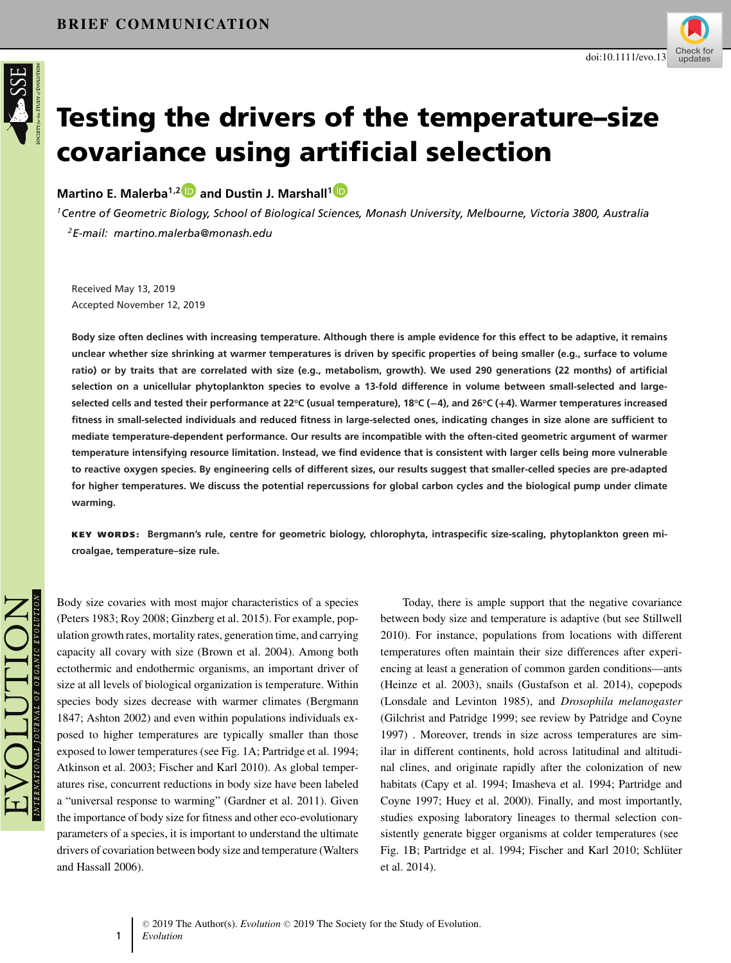

# **Testing the drivers of the temperature–size covariance using artificial selection**

**Martino E. Malerba1,[2](https://orcid.org/0000-0002-7480-4779) and Dustin J. Marshall[1](https://orcid.org/0000-0001-6651-6219)**

*1Centre of Geometric Biology, School of Biological Sciences, Monash University, Melbourne, Victoria 3800, Australia 2E-mail: martino.malerba@monash.edu*

Received May 13, 2019 Accepted November 12, 2019

**Body size often declines with increasing temperature. Although there is ample evidence for this effect to be adaptive, it remains unclear whether size shrinking at warmer temperatures is driven by specific properties of being smaller (e.g., surface to volume ratio) or by traits that are correlated with size (e.g., metabolism, growth). We used 290 generations (22 months) of artificial selection on a unicellular phytoplankton species to evolve a 13-fold difference in volume between small-selected and largeselected cells and tested their performance at 22°C (usual temperature), 18°C (−4), and 26°C (+4). Warmer temperatures increased fitness in small-selected individuals and reduced fitness in large-selected ones, indicating changes in size alone are sufficient to mediate temperature-dependent performance. Our results are incompatible with the often-cited geometric argument of warmer temperature intensifying resource limitation. Instead, we find evidence that is consistent with larger cells being more vulnerable to reactive oxygen species. By engineering cells of different sizes, our results suggest that smaller-celled species are pre-adapted for higher temperatures. We discuss the potential repercussions for global carbon cycles and the biological pump under climate warming.**

**KEY WORDS: Bergmann's rule, centre for geometric biology, chlorophyta, intraspecific size-scaling, phytoplankton green microalgae, temperature–size rule.**

Body size covaries with most major characteristics of a species (Peters 1983; Roy 2008; Ginzberg et al. 2015). For example, population growth rates, mortality rates, generation time, and carrying capacity all covary with size (Brown et al. 2004). Among both ectothermic and endothermic organisms, an important driver of size at all levels of biological organization is temperature. Within species body sizes decrease with warmer climates (Bergmann 1847; Ashton 2002) and even within populations individuals exposed to higher temperatures are typically smaller than those exposed to lower temperatures (see Fig. 1A; Partridge et al. 1994; Atkinson et al. 2003; Fischer and Karl 2010). As global temperatures rise, concurrent reductions in body size have been labeled a "universal response to warming" (Gardner et al. 2011). Given the importance of body size for fitness and other eco-evolutionary parameters of a species, it is important to understand the ultimate drivers of covariation between body size and temperature (Walters and Hassall 2006).

1

Today, there is ample support that the negative covariance between body size and temperature is adaptive (but see Stillwell 2010). For instance, populations from locations with different temperatures often maintain their size differences after experiencing at least a generation of common garden conditions—ants (Heinze et al. 2003), snails (Gustafson et al. 2014), copepods (Lonsdale and Levinton 1985), and *Drosophila melanogaster* (Gilchrist and Patridge 1999; see review by Patridge and Coyne 1997) . Moreover, trends in size across temperatures are similar in different continents, hold across latitudinal and altitudinal clines, and originate rapidly after the colonization of new habitats (Capy et al. 1994; Imasheva et al. 1994; Partridge and Coyne 1997; Huey et al. 2000). Finally, and most importantly, studies exposing laboratory lineages to thermal selection consistently generate bigger organisms at colder temperatures (see Fig. 1B; Partridge et al. 1994; Fischer and Karl 2010; Schlüter et al. 2014).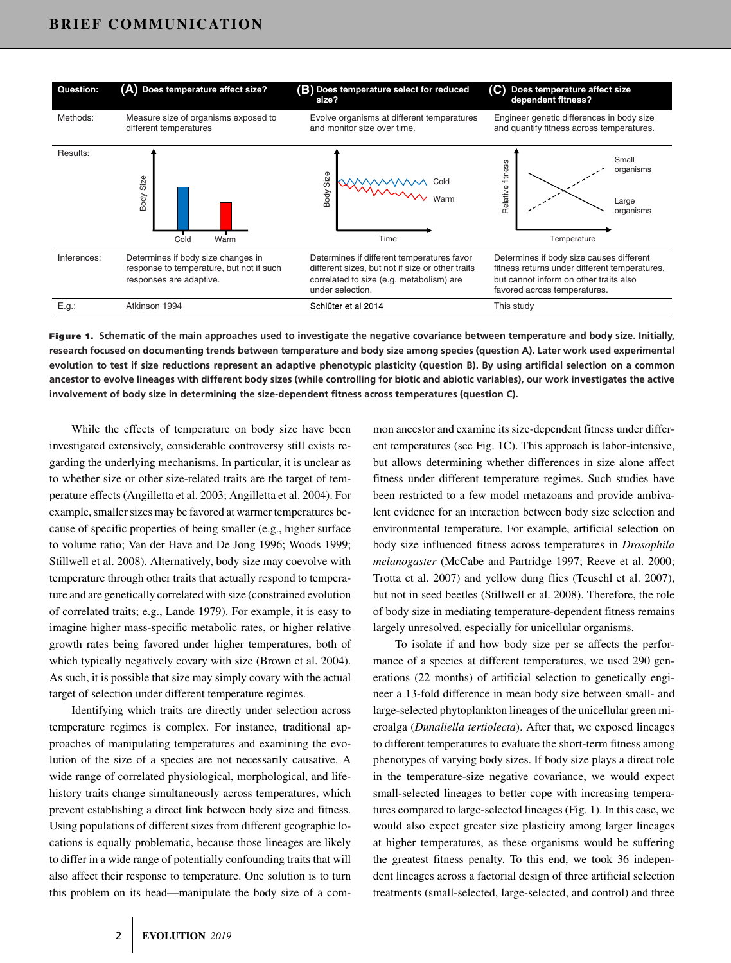

**Figure 1. Schematic of the main approaches used to investigate the negative covariance between temperature and body size. Initially, research focused on documenting trends between temperature and body size among species (question A). Later work used experimental evolution to test if size reductions represent an adaptive phenotypic plasticity (question B). By using artificial selection on a common ancestor to evolve lineages with different body sizes (while controlling for biotic and abiotic variables), our work investigates the active involvement of body size in determining the size-dependent fitness across temperatures (question C).**

While the effects of temperature on body size have been investigated extensively, considerable controversy still exists regarding the underlying mechanisms. In particular, it is unclear as to whether size or other size-related traits are the target of temperature effects (Angilletta et al. 2003; Angilletta et al. 2004). For example, smaller sizes may be favored at warmer temperatures because of specific properties of being smaller (e.g., higher surface to volume ratio; Van der Have and De Jong 1996; Woods 1999; Stillwell et al. 2008). Alternatively, body size may coevolve with temperature through other traits that actually respond to temperature and are genetically correlated with size (constrained evolution of correlated traits; e.g., Lande 1979). For example, it is easy to imagine higher mass-specific metabolic rates, or higher relative growth rates being favored under higher temperatures, both of which typically negatively covary with size (Brown et al. 2004). As such, it is possible that size may simply covary with the actual target of selection under different temperature regimes.

Identifying which traits are directly under selection across temperature regimes is complex. For instance, traditional approaches of manipulating temperatures and examining the evolution of the size of a species are not necessarily causative. A wide range of correlated physiological, morphological, and lifehistory traits change simultaneously across temperatures, which prevent establishing a direct link between body size and fitness. Using populations of different sizes from different geographic locations is equally problematic, because those lineages are likely to differ in a wide range of potentially confounding traits that will also affect their response to temperature. One solution is to turn this problem on its head—manipulate the body size of a common ancestor and examine its size-dependent fitness under different temperatures (see Fig. 1C). This approach is labor-intensive, but allows determining whether differences in size alone affect fitness under different temperature regimes. Such studies have been restricted to a few model metazoans and provide ambivalent evidence for an interaction between body size selection and environmental temperature. For example, artificial selection on body size influenced fitness across temperatures in *Drosophila melanogaster* (McCabe and Partridge 1997; Reeve et al. 2000; Trotta et al. 2007) and yellow dung flies (Teuschl et al. 2007), but not in seed beetles (Stillwell et al. 2008). Therefore, the role of body size in mediating temperature-dependent fitness remains largely unresolved, especially for unicellular organisms.

To isolate if and how body size per se affects the performance of a species at different temperatures, we used 290 generations (22 months) of artificial selection to genetically engineer a 13-fold difference in mean body size between small- and large-selected phytoplankton lineages of the unicellular green microalga (*Dunaliella tertiolecta*). After that, we exposed lineages to different temperatures to evaluate the short-term fitness among phenotypes of varying body sizes. If body size plays a direct role in the temperature-size negative covariance, we would expect small-selected lineages to better cope with increasing temperatures compared to large-selected lineages (Fig. 1). In this case, we would also expect greater size plasticity among larger lineages at higher temperatures, as these organisms would be suffering the greatest fitness penalty. To this end, we took 36 independent lineages across a factorial design of three artificial selection treatments (small-selected, large-selected, and control) and three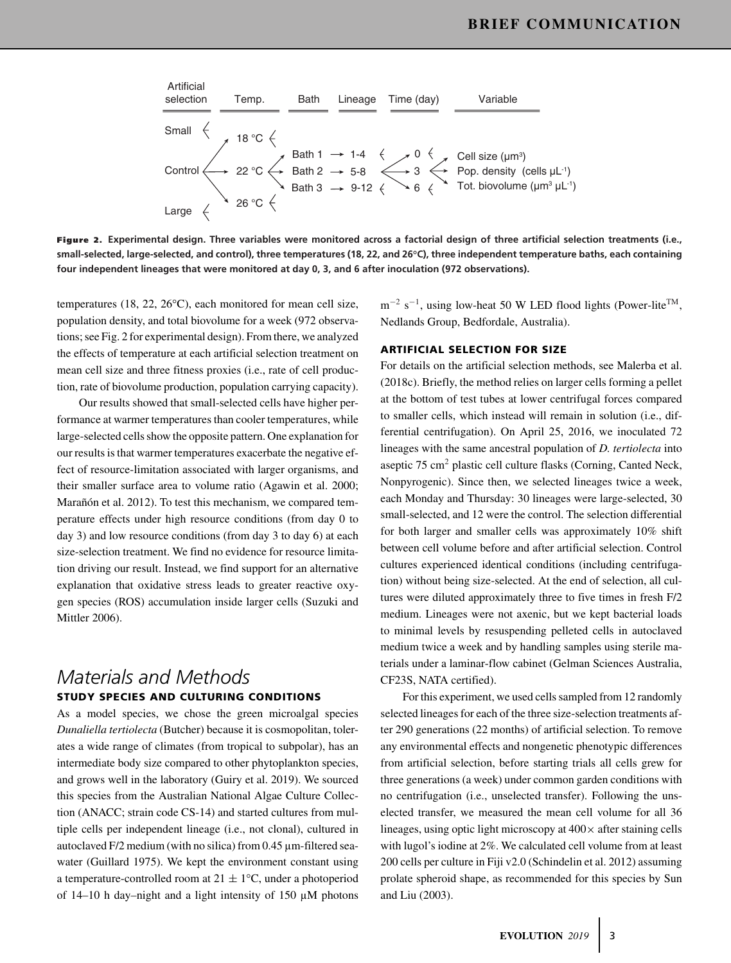

**Figure 2. Experimental design. Three variables were monitored across a factorial design of three artificial selection treatments (i.e., small-selected, large-selected, and control), three temperatures (18, 22, and 26°C), three independent temperature baths, each containing four independent lineages that were monitored at day 0, 3, and 6 after inoculation (972 observations).**

temperatures (18, 22, 26°C), each monitored for mean cell size, population density, and total biovolume for a week (972 observations; see Fig. 2 for experimental design). From there, we analyzed the effects of temperature at each artificial selection treatment on mean cell size and three fitness proxies (i.e., rate of cell production, rate of biovolume production, population carrying capacity).

Our results showed that small-selected cells have higher performance at warmer temperatures than cooler temperatures, while large-selected cells show the opposite pattern. One explanation for our results is that warmer temperatures exacerbate the negative effect of resource-limitation associated with larger organisms, and their smaller surface area to volume ratio (Agawin et al. 2000; Marañón et al. 2012). To test this mechanism, we compared temperature effects under high resource conditions (from day 0 to day 3) and low resource conditions (from day 3 to day 6) at each size-selection treatment. We find no evidence for resource limitation driving our result. Instead, we find support for an alternative explanation that oxidative stress leads to greater reactive oxygen species (ROS) accumulation inside larger cells (Suzuki and Mittler 2006).

# *Materials and Methods* **STUDY SPECIES AND CULTURING CONDITIONS**

As a model species, we chose the green microalgal species *Dunaliella tertiolecta* (Butcher) because it is cosmopolitan, tolerates a wide range of climates (from tropical to subpolar), has an intermediate body size compared to other phytoplankton species, and grows well in the laboratory (Guiry et al. 2019). We sourced this species from the Australian National Algae Culture Collection (ANACC; strain code CS-14) and started cultures from multiple cells per independent lineage (i.e., not clonal), cultured in autoclaved F/2 medium (with no silica) from 0.45 µm-filtered seawater (Guillard 1975). We kept the environment constant using a temperature-controlled room at  $21 \pm 1$ °C, under a photoperiod of 14–10 h day–night and a light intensity of 150  $\mu$ M photons

 $m^{-2}$  s<sup>-1</sup>, using low-heat 50 W LED flood lights (Power-lite<sup>TM</sup>, Nedlands Group, Bedfordale, Australia).

#### **ARTIFICIAL SELECTION FOR SIZE**

For details on the artificial selection methods, see Malerba et al. (2018c). Briefly, the method relies on larger cells forming a pellet at the bottom of test tubes at lower centrifugal forces compared to smaller cells, which instead will remain in solution (i.e., differential centrifugation). On April 25, 2016, we inoculated 72 lineages with the same ancestral population of *D. tertiolecta* into aseptic 75 cm2 plastic cell culture flasks (Corning, Canted Neck, Nonpyrogenic). Since then, we selected lineages twice a week, each Monday and Thursday: 30 lineages were large-selected, 30 small-selected, and 12 were the control. The selection differential for both larger and smaller cells was approximately 10% shift between cell volume before and after artificial selection. Control cultures experienced identical conditions (including centrifugation) without being size-selected. At the end of selection, all cultures were diluted approximately three to five times in fresh F/2 medium. Lineages were not axenic, but we kept bacterial loads to minimal levels by resuspending pelleted cells in autoclaved medium twice a week and by handling samples using sterile materials under a laminar-flow cabinet (Gelman Sciences Australia, CF23S, NATA certified).

For this experiment, we used cells sampled from 12 randomly selected lineages for each of the three size-selection treatments after 290 generations (22 months) of artificial selection. To remove any environmental effects and nongenetic phenotypic differences from artificial selection, before starting trials all cells grew for three generations (a week) under common garden conditions with no centrifugation (i.e., unselected transfer). Following the unselected transfer, we measured the mean cell volume for all 36 lineages, using optic light microscopy at  $400 \times$  after staining cells with lugol's iodine at 2%. We calculated cell volume from at least 200 cells per culture in Fiji v2.0 (Schindelin et al. 2012) assuming prolate spheroid shape, as recommended for this species by Sun and Liu (2003).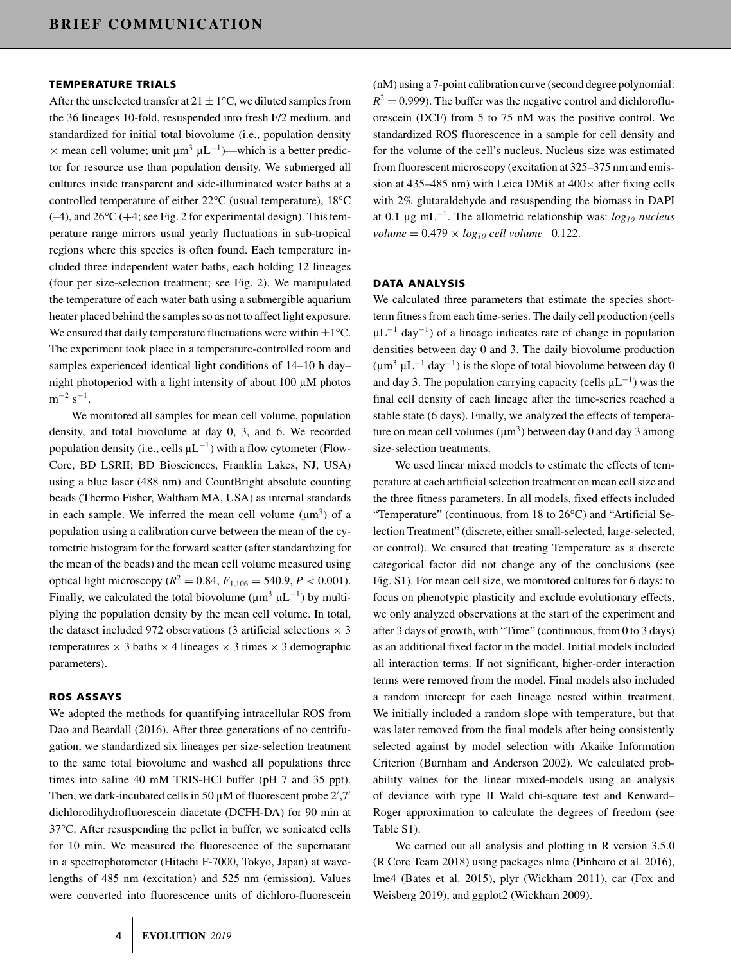#### **TEMPERATURE TRIALS**

After the unselected transfer at  $21 \pm 1$ °C, we diluted samples from the 36 lineages 10-fold, resuspended into fresh F/2 medium, and standardized for initial total biovolume (i.e., population density  $\times$  mean cell volume; unit  $\mu$ m<sup>3</sup>  $\mu$ L<sup>-1</sup>)—which is a better predictor for resource use than population density. We submerged all cultures inside transparent and side-illuminated water baths at a controlled temperature of either 22°C (usual temperature), 18°C  $(-4)$ , and  $26^{\circ}$ C ( $+4$ ; see Fig. 2 for experimental design). This temperature range mirrors usual yearly fluctuations in sub-tropical regions where this species is often found. Each temperature included three independent water baths, each holding 12 lineages (four per size-selection treatment; see Fig. 2). We manipulated the temperature of each water bath using a submergible aquarium heater placed behind the samples so as not to affect light exposure. We ensured that daily temperature fluctuations were within  $\pm 1^{\circ}$ C. The experiment took place in a temperature-controlled room and samples experienced identical light conditions of 14–10 h day– night photoperiod with a light intensity of about 100 µM photos  $m^{-2}$  s<sup>-1</sup>.

We monitored all samples for mean cell volume, population density, and total biovolume at day 0, 3, and 6. We recorded population density (i.e., cells  $\mu L^{-1}$ ) with a flow cytometer (Flow-Core, BD LSRII; BD Biosciences, Franklin Lakes, NJ, USA) using a blue laser (488 nm) and CountBright absolute counting beads (Thermo Fisher, Waltham MA, USA) as internal standards in each sample. We inferred the mean cell volume  $(\mu m^3)$  of a population using a calibration curve between the mean of the cytometric histogram for the forward scatter (after standardizing for the mean of the beads) and the mean cell volume measured using optical light microscopy ( $R^2 = 0.84$ ,  $F_{1,106} = 540.9$ ,  $P < 0.001$ ). Finally, we calculated the total biovolume ( $\mu$ m<sup>3</sup>  $\mu$ L<sup>-1</sup>) by multiplying the population density by the mean cell volume. In total, the dataset included 972 observations (3 artificial selections  $\times$  3 temperatures  $\times$  3 baths  $\times$  4 lineages  $\times$  3 times  $\times$  3 demographic parameters).

#### **ROS ASSAYS**

We adopted the methods for quantifying intracellular ROS from Dao and Beardall (2016). After three generations of no centrifugation, we standardized six lineages per size-selection treatment to the same total biovolume and washed all populations three times into saline 40 mM TRIS-HCl buffer (pH 7 and 35 ppt). Then, we dark-incubated cells in 50  $\mu$ M of fluorescent probe 2',7' dichlorodihydrofluorescein diacetate (DCFH-DA) for 90 min at 37°C. After resuspending the pellet in buffer, we sonicated cells for 10 min. We measured the fluorescence of the supernatant in a spectrophotometer (Hitachi F-7000, Tokyo, Japan) at wavelengths of 485 nm (excitation) and 525 nm (emission). Values were converted into fluorescence units of dichloro-fluorescein (nM) using a 7-point calibration curve (second degree polynomial:  $R^2 = 0.999$ . The buffer was the negative control and dichlorofluorescein (DCF) from 5 to 75 nM was the positive control. We standardized ROS fluorescence in a sample for cell density and for the volume of the cell's nucleus. Nucleus size was estimated from fluorescent microscopy (excitation at 325–375 nm and emission at 435–485 nm) with Leica DMi8 at  $400 \times$  after fixing cells with 2% glutaraldehyde and resuspending the biomass in DAPI at 0.1 µg mL−1. The allometric relationship was: *log10 nucleus volume* = 0.479 × *log10 cell volume*−0.122.

#### **DATA ANALYSIS**

We calculated three parameters that estimate the species shortterm fitness from each time-series. The daily cell production (cells  $\mu L^{-1}$  day<sup>-1</sup>) of a lineage indicates rate of change in population densities between day 0 and 3. The daily biovolume production  $(\mu m^3 \mu L^{-1}$  day<sup>-1</sup>) is the slope of total biovolume between day 0 and day 3. The population carrying capacity (cells  $\mu L^{-1}$ ) was the final cell density of each lineage after the time-series reached a stable state (6 days). Finally, we analyzed the effects of temperature on mean cell volumes  $(\mu m^3)$  between day 0 and day 3 among size-selection treatments.

We used linear mixed models to estimate the effects of temperature at each artificial selection treatment on mean cell size and the three fitness parameters. In all models, fixed effects included "Temperature" (continuous, from 18 to 26°C) and "Artificial Selection Treatment" (discrete, either small-selected, large-selected, or control). We ensured that treating Temperature as a discrete categorical factor did not change any of the conclusions (see Fig. S1). For mean cell size, we monitored cultures for 6 days: to focus on phenotypic plasticity and exclude evolutionary effects, we only analyzed observations at the start of the experiment and after 3 days of growth, with "Time" (continuous, from 0 to 3 days) as an additional fixed factor in the model. Initial models included all interaction terms. If not significant, higher-order interaction terms were removed from the model. Final models also included a random intercept for each lineage nested within treatment. We initially included a random slope with temperature, but that was later removed from the final models after being consistently selected against by model selection with Akaike Information Criterion (Burnham and Anderson 2002). We calculated probability values for the linear mixed-models using an analysis of deviance with type II Wald chi-square test and Kenward– Roger approximation to calculate the degrees of freedom (see Table S1).

We carried out all analysis and plotting in R version 3.5.0 (R Core Team 2018) using packages nlme (Pinheiro et al. 2016), lme4 (Bates et al. 2015), plyr (Wickham 2011), car (Fox and Weisberg 2019), and ggplot2 (Wickham 2009).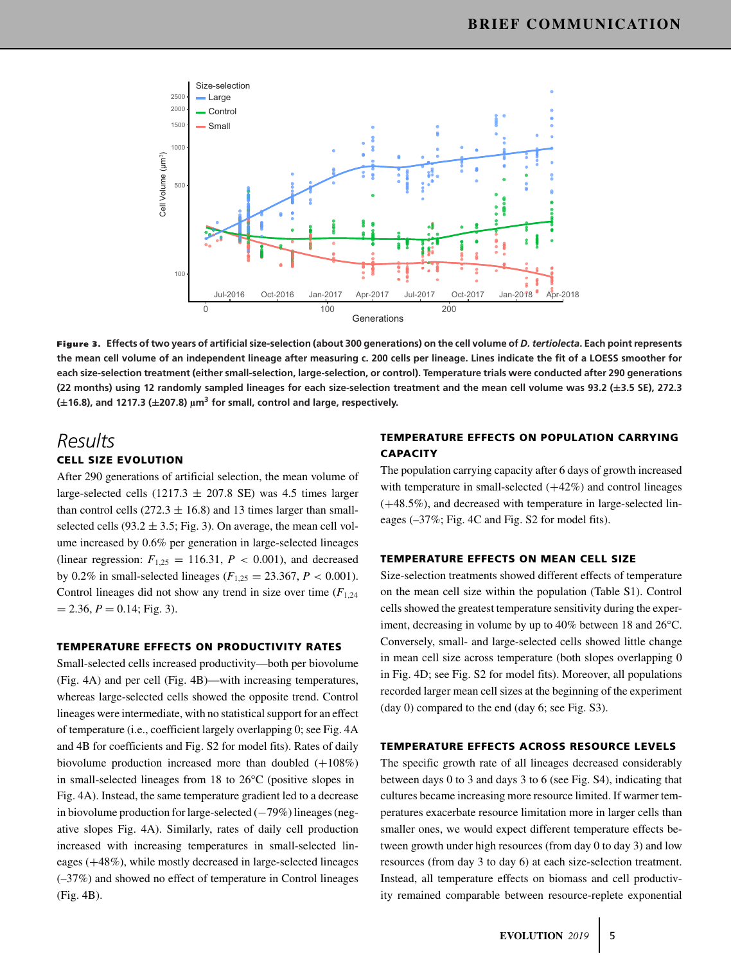

**Figure 3. Effects of two years of artificial size-selection (about 300 generations) on the cell volume of** *D. tertiolecta***. Each point represents the mean cell volume of an independent lineage after measuring c. 200 cells per lineage. Lines indicate the fit of a LOESS smoother for each size-selection treatment (either small-selection, large-selection, or control). Temperature trials were conducted after 290 generations (22 months) using 12 randomly sampled lineages for each size-selection treatment and the mean cell volume was 93.2 (±3.5 SE), 272.3 (±16.8), and 1217.3 (±207.8) <sup>µ</sup>m3 for small, control and large, respectively.**

# *Results*

### **CELL SIZE EVOLUTION**

After 290 generations of artificial selection, the mean volume of large-selected cells (1217.3  $\pm$  207.8 SE) was 4.5 times larger than control cells (272.3  $\pm$  16.8) and 13 times larger than smallselected cells (93.2  $\pm$  3.5; Fig. 3). On average, the mean cell volume increased by 0.6% per generation in large-selected lineages (linear regression:  $F_{1,25} = 116.31$ ,  $P < 0.001$ ), and decreased by 0.2% in small-selected lineages ( $F_{1,25} = 23.367, P < 0.001$ ). Control lineages did not show any trend in size over time  $(F_{1,24})$  $= 2.36, P = 0.14$ ; Fig. 3).

#### **TEMPERATURE EFFECTS ON PRODUCTIVITY RATES**

Small-selected cells increased productivity—both per biovolume (Fig. 4A) and per cell (Fig. 4B)—with increasing temperatures, whereas large-selected cells showed the opposite trend. Control lineages were intermediate, with no statistical support for an effect of temperature (i.e., coefficient largely overlapping 0; see Fig. 4A and 4B for coefficients and Fig. S2 for model fits). Rates of daily biovolume production increased more than doubled  $(+108%)$ in small-selected lineages from 18 to 26°C (positive slopes in Fig. 4A). Instead, the same temperature gradient led to a decrease in biovolume production for large-selected (−79%) lineages (negative slopes Fig. 4A). Similarly, rates of daily cell production increased with increasing temperatures in small-selected lineages (+48%), while mostly decreased in large-selected lineages (–37%) and showed no effect of temperature in Control lineages (Fig. 4B).

#### **TEMPERATURE EFFECTS ON POPULATION CARRYING CAPACITY**

The population carrying capacity after 6 days of growth increased with temperature in small-selected  $(+42%)$  and control lineages (+48.5%), and decreased with temperature in large-selected lineages (–37%; Fig. 4C and Fig. S2 for model fits).

#### **TEMPERATURE EFFECTS ON MEAN CELL SIZE**

Size-selection treatments showed different effects of temperature on the mean cell size within the population (Table S1). Control cells showed the greatest temperature sensitivity during the experiment, decreasing in volume by up to 40% between 18 and 26°C. Conversely, small- and large-selected cells showed little change in mean cell size across temperature (both slopes overlapping 0 in Fig. 4D; see Fig. S2 for model fits). Moreover, all populations recorded larger mean cell sizes at the beginning of the experiment (day 0) compared to the end (day 6; see Fig. S3).

#### **TEMPERATURE EFFECTS ACROSS RESOURCE LEVELS**

The specific growth rate of all lineages decreased considerably between days 0 to 3 and days 3 to 6 (see Fig. S4), indicating that cultures became increasing more resource limited. If warmer temperatures exacerbate resource limitation more in larger cells than smaller ones, we would expect different temperature effects between growth under high resources (from day 0 to day 3) and low resources (from day 3 to day 6) at each size-selection treatment. Instead, all temperature effects on biomass and cell productivity remained comparable between resource-replete exponential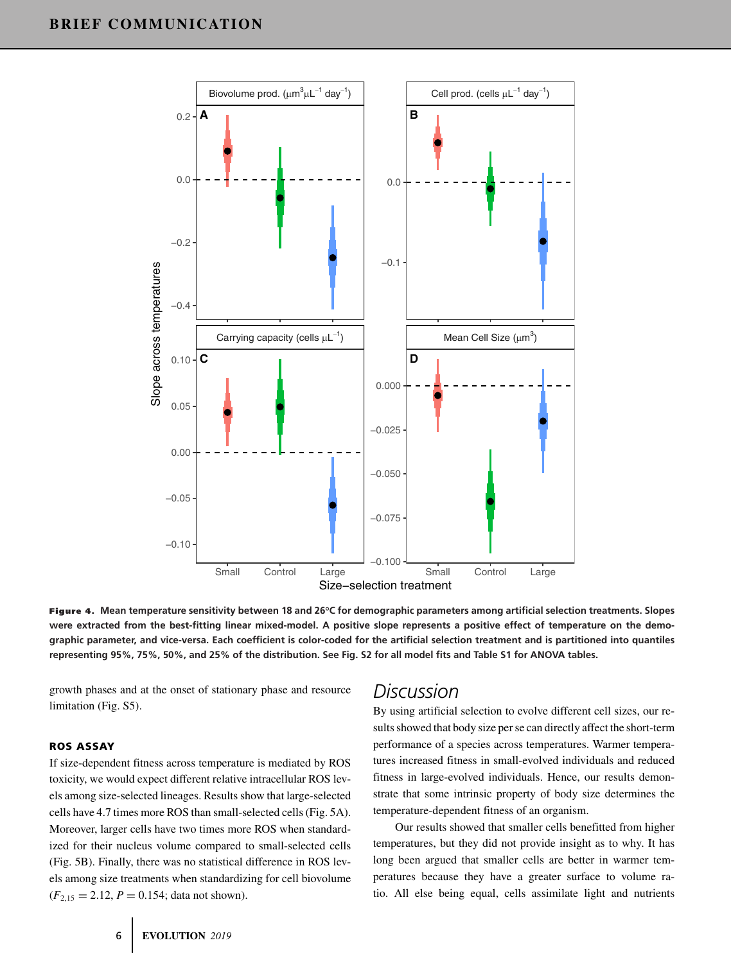

**Figure 4. Mean temperature sensitivity between 18 and 26°C for demographic parameters among artificial selection treatments. Slopes were extracted from the best-fitting linear mixed-model. A positive slope represents a positive effect of temperature on the demographic parameter, and vice-versa. Each coefficient is color-coded for the artificial selection treatment and is partitioned into quantiles representing 95%, 75%, 50%, and 25% of the distribution. See Fig. S2 for all model fits and Table S1 for ANOVA tables.**

growth phases and at the onset of stationary phase and resource limitation (Fig. S5).

#### **ROS ASSAY**

If size-dependent fitness across temperature is mediated by ROS toxicity, we would expect different relative intracellular ROS levels among size-selected lineages. Results show that large-selected cells have 4.7 times more ROS than small-selected cells (Fig. 5A). Moreover, larger cells have two times more ROS when standardized for their nucleus volume compared to small-selected cells (Fig. 5B). Finally, there was no statistical difference in ROS levels among size treatments when standardizing for cell biovolume  $(F_{2,15} = 2.12, P = 0.154$ ; data not shown).

## *Discussion*

By using artificial selection to evolve different cell sizes, our results showed that body size per se can directly affect the short-term performance of a species across temperatures. Warmer temperatures increased fitness in small-evolved individuals and reduced fitness in large-evolved individuals. Hence, our results demonstrate that some intrinsic property of body size determines the temperature-dependent fitness of an organism.

Our results showed that smaller cells benefitted from higher temperatures, but they did not provide insight as to why. It has long been argued that smaller cells are better in warmer temperatures because they have a greater surface to volume ratio. All else being equal, cells assimilate light and nutrients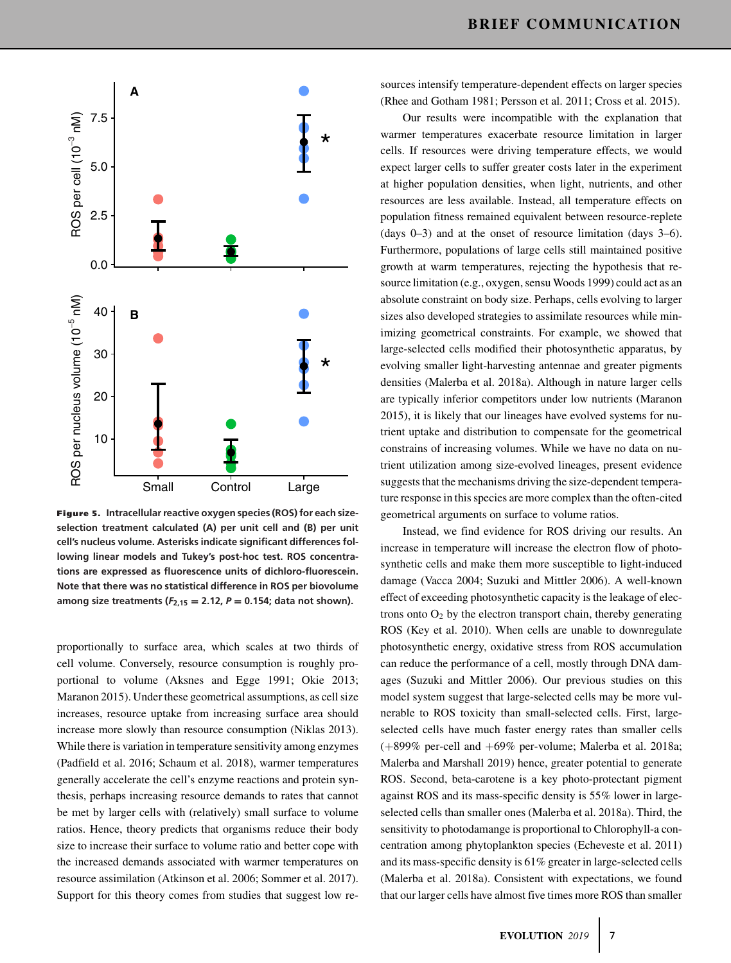

**Figure 5. Intracellular reactive oxygen species (ROS) for each sizeselection treatment calculated (A) per unit cell and (B) per unit cell's nucleus volume. Asterisks indicate significant differences following linear models and Tukey's post-hoc test. ROS concentrations are expressed as fluorescence units of dichloro-fluorescein. Note that there was no statistical difference in ROS per biovolume** among size treatments  $(F_{2,15} = 2.12, P = 0.154;$  data not shown).

proportionally to surface area, which scales at two thirds of cell volume. Conversely, resource consumption is roughly proportional to volume (Aksnes and Egge 1991; Okie 2013; Maranon 2015). Under these geometrical assumptions, as cell size increases, resource uptake from increasing surface area should increase more slowly than resource consumption (Niklas 2013). While there is variation in temperature sensitivity among enzymes (Padfield et al. 2016; Schaum et al. 2018), warmer temperatures generally accelerate the cell's enzyme reactions and protein synthesis, perhaps increasing resource demands to rates that cannot be met by larger cells with (relatively) small surface to volume ratios. Hence, theory predicts that organisms reduce their body size to increase their surface to volume ratio and better cope with the increased demands associated with warmer temperatures on resource assimilation (Atkinson et al. 2006; Sommer et al. 2017). Support for this theory comes from studies that suggest low resources intensify temperature-dependent effects on larger species (Rhee and Gotham 1981; Persson et al. 2011; Cross et al. 2015).

Our results were incompatible with the explanation that warmer temperatures exacerbate resource limitation in larger cells. If resources were driving temperature effects, we would expect larger cells to suffer greater costs later in the experiment at higher population densities, when light, nutrients, and other resources are less available. Instead, all temperature effects on population fitness remained equivalent between resource-replete (days 0–3) and at the onset of resource limitation (days 3–6). Furthermore, populations of large cells still maintained positive growth at warm temperatures, rejecting the hypothesis that resource limitation (e.g., oxygen, sensu Woods 1999) could act as an absolute constraint on body size. Perhaps, cells evolving to larger sizes also developed strategies to assimilate resources while minimizing geometrical constraints. For example, we showed that large-selected cells modified their photosynthetic apparatus, by evolving smaller light-harvesting antennae and greater pigments densities (Malerba et al. 2018a). Although in nature larger cells are typically inferior competitors under low nutrients (Maranon 2015), it is likely that our lineages have evolved systems for nutrient uptake and distribution to compensate for the geometrical constrains of increasing volumes. While we have no data on nutrient utilization among size-evolved lineages, present evidence suggests that the mechanisms driving the size-dependent temperature response in this species are more complex than the often-cited geometrical arguments on surface to volume ratios.

Instead, we find evidence for ROS driving our results. An increase in temperature will increase the electron flow of photosynthetic cells and make them more susceptible to light-induced damage (Vacca 2004; Suzuki and Mittler 2006). A well-known effect of exceeding photosynthetic capacity is the leakage of electrons onto  $O_2$  by the electron transport chain, thereby generating ROS (Key et al. 2010). When cells are unable to downregulate photosynthetic energy, oxidative stress from ROS accumulation can reduce the performance of a cell, mostly through DNA damages (Suzuki and Mittler 2006). Our previous studies on this model system suggest that large-selected cells may be more vulnerable to ROS toxicity than small-selected cells. First, largeselected cells have much faster energy rates than smaller cells (+899% per-cell and +69% per-volume; Malerba et al. 2018a; Malerba and Marshall 2019) hence, greater potential to generate ROS. Second, beta-carotene is a key photo-protectant pigment against ROS and its mass-specific density is 55% lower in largeselected cells than smaller ones (Malerba et al. 2018a). Third, the sensitivity to photodamange is proportional to Chlorophyll-a concentration among phytoplankton species (Echeveste et al. 2011) and its mass-specific density is 61% greater in large-selected cells (Malerba et al. 2018a). Consistent with expectations, we found that our larger cells have almost five times more ROS than smaller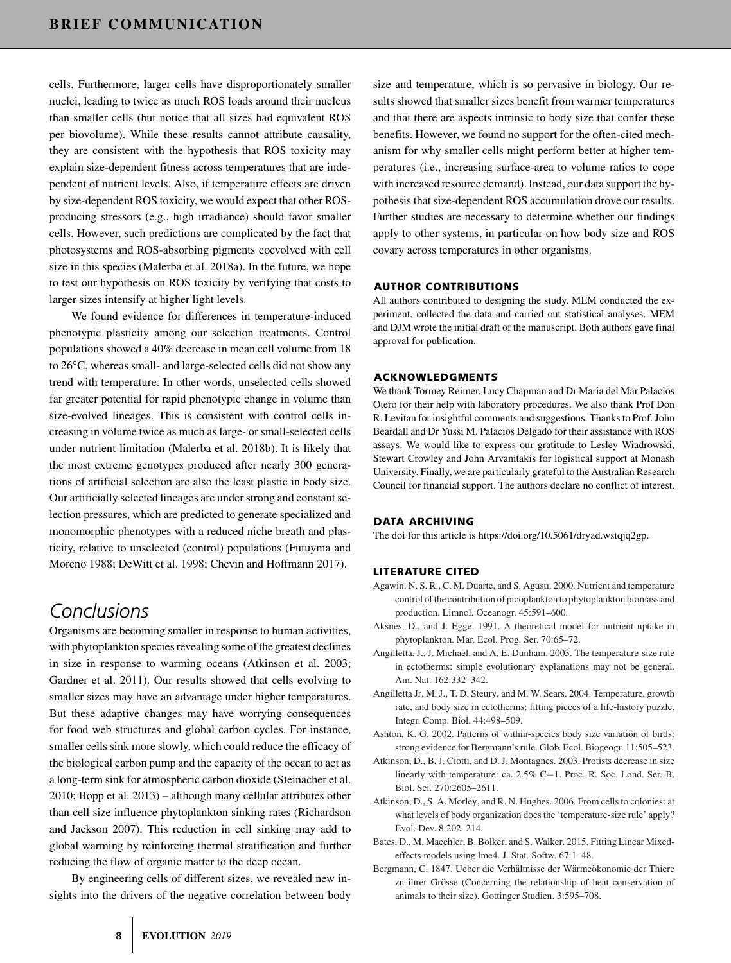cells. Furthermore, larger cells have disproportionately smaller nuclei, leading to twice as much ROS loads around their nucleus than smaller cells (but notice that all sizes had equivalent ROS per biovolume). While these results cannot attribute causality, they are consistent with the hypothesis that ROS toxicity may explain size-dependent fitness across temperatures that are independent of nutrient levels. Also, if temperature effects are driven by size-dependent ROS toxicity, we would expect that other ROSproducing stressors (e.g., high irradiance) should favor smaller cells. However, such predictions are complicated by the fact that photosystems and ROS-absorbing pigments coevolved with cell size in this species (Malerba et al. 2018a). In the future, we hope to test our hypothesis on ROS toxicity by verifying that costs to larger sizes intensify at higher light levels.

We found evidence for differences in temperature-induced phenotypic plasticity among our selection treatments. Control populations showed a 40% decrease in mean cell volume from 18 to 26°C, whereas small- and large-selected cells did not show any trend with temperature. In other words, unselected cells showed far greater potential for rapid phenotypic change in volume than size-evolved lineages. This is consistent with control cells increasing in volume twice as much as large- or small-selected cells under nutrient limitation (Malerba et al. 2018b). It is likely that the most extreme genotypes produced after nearly 300 generations of artificial selection are also the least plastic in body size. Our artificially selected lineages are under strong and constant selection pressures, which are predicted to generate specialized and monomorphic phenotypes with a reduced niche breath and plasticity, relative to unselected (control) populations (Futuyma and Moreno 1988; DeWitt et al. 1998; Chevin and Hoffmann 2017).

# *Conclusions*

Organisms are becoming smaller in response to human activities, with phytoplankton species revealing some of the greatest declines in size in response to warming oceans (Atkinson et al. 2003; Gardner et al. 2011). Our results showed that cells evolving to smaller sizes may have an advantage under higher temperatures. But these adaptive changes may have worrying consequences for food web structures and global carbon cycles. For instance, smaller cells sink more slowly, which could reduce the efficacy of the biological carbon pump and the capacity of the ocean to act as a long-term sink for atmospheric carbon dioxide (Steinacher et al. 2010; Bopp et al. 2013) – although many cellular attributes other than cell size influence phytoplankton sinking rates (Richardson and Jackson 2007). This reduction in cell sinking may add to global warming by reinforcing thermal stratification and further reducing the flow of organic matter to the deep ocean.

By engineering cells of different sizes, we revealed new insights into the drivers of the negative correlation between body size and temperature, which is so pervasive in biology. Our results showed that smaller sizes benefit from warmer temperatures and that there are aspects intrinsic to body size that confer these benefits. However, we found no support for the often-cited mechanism for why smaller cells might perform better at higher temperatures (i.e., increasing surface-area to volume ratios to cope with increased resource demand). Instead, our data support the hypothesis that size-dependent ROS accumulation drove our results. Further studies are necessary to determine whether our findings apply to other systems, in particular on how body size and ROS covary across temperatures in other organisms.

#### **AUTHOR CONTRIBUTIONS**

All authors contributed to designing the study. MEM conducted the experiment, collected the data and carried out statistical analyses. MEM and DJM wrote the initial draft of the manuscript. Both authors gave final approval for publication.

#### **ACKNOWLEDGMENTS**

We thank Tormey Reimer, Lucy Chapman and Dr Maria del Mar Palacios Otero for their help with laboratory procedures. We also thank Prof Don R. Levitan for insightful comments and suggestions. Thanks to Prof. John Beardall and Dr Yussi M. Palacios Delgado for their assistance with ROS assays. We would like to express our gratitude to Lesley Wiadrowski, Stewart Crowley and John Arvanitakis for logistical support at Monash University. Finally, we are particularly grateful to the Australian Research Council for financial support. The authors declare no conflict of interest.

#### **DATA ARCHIVING**

The doi for this article is [https://doi.org/10.5061/dryad.wstqjq2gp.](https://doi.org/10.5061/dryad.wstqjq2gp)

#### **LITERATURE CITED**

- Agawin, N. S. R., C. M. Duarte, and S. Agustı. 2000. Nutrient and temperature control of the contribution of picoplankton to phytoplankton biomass and production. Limnol. Oceanogr. 45:591–600.
- Aksnes, D., and J. Egge. 1991. A theoretical model for nutrient uptake in phytoplankton. Mar. Ecol. Prog. Ser. 70:65–72.
- Angilletta, J., J. Michael, and A. E. Dunham. 2003. The temperature-size rule in ectotherms: simple evolutionary explanations may not be general. Am. Nat. 162:332–342.
- Angilletta Jr, M. J., T. D. Steury, and M. W. Sears. 2004. Temperature, growth rate, and body size in ectotherms: fitting pieces of a life-history puzzle. Integr. Comp. Biol. 44:498–509.
- Ashton, K. G. 2002. Patterns of within-species body size variation of birds: strong evidence for Bergmann's rule. Glob. Ecol. Biogeogr. 11:505–523.
- Atkinson, D., B. J. Ciotti, and D. J. Montagnes. 2003. Protists decrease in size linearly with temperature: ca. 2.5% C−1. Proc. R. Soc. Lond. Ser. B. Biol. Sci. 270:2605–2611.
- Atkinson, D., S. A. Morley, and R. N. Hughes. 2006. From cells to colonies: at what levels of body organization does the 'temperature-size rule' apply? Evol. Dev. 8:202–214.
- Bates, D., M. Maechler, B. Bolker, and S. Walker. 2015. Fitting Linear Mixedeffects models using lme4. J. Stat. Softw. 67:1–48.
- Bergmann, C. 1847. Ueber die Verhältnisse der Wärmeökonomie der Thiere zu ihrer Grösse (Concerning the relationship of heat conservation of animals to their size). Gottinger Studien. 3:595–708.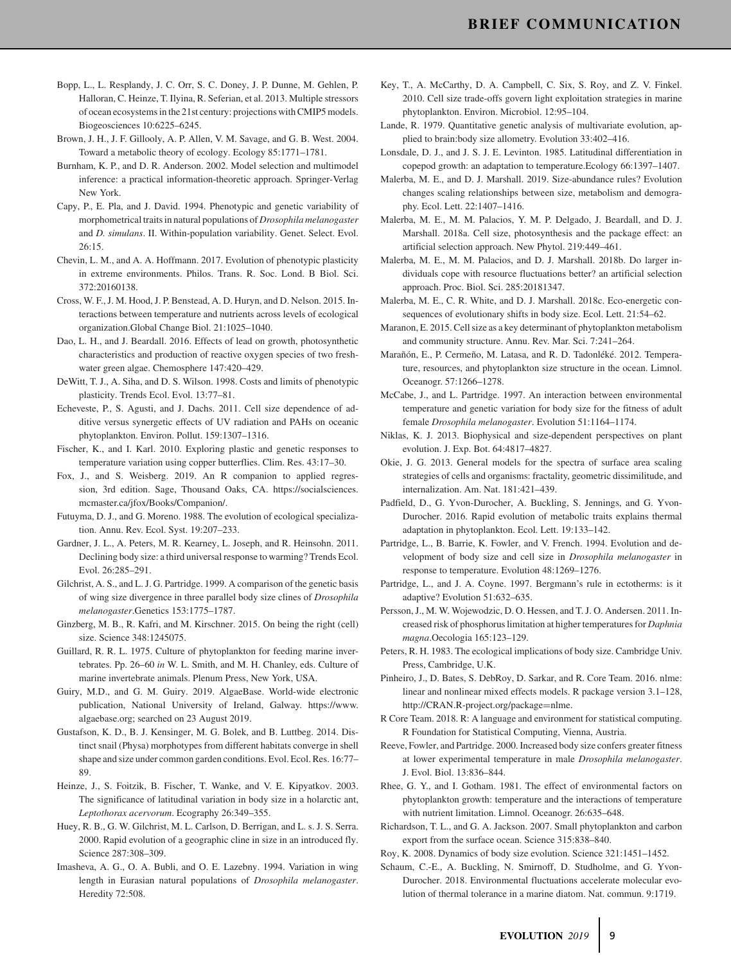- Bopp, L., L. Resplandy, J. C. Orr, S. C. Doney, J. P. Dunne, M. Gehlen, P. Halloran, C. Heinze, T. Ilyina, R. Seferian, et al. 2013. Multiple stressors of ocean ecosystems in the 21st century: projections with CMIP5 models. Biogeosciences 10:6225–6245.
- Brown, J. H., J. F. Gillooly, A. P. Allen, V. M. Savage, and G. B. West. 2004. Toward a metabolic theory of ecology. Ecology 85:1771–1781.
- Burnham, K. P., and D. R. Anderson. 2002. Model selection and multimodel inference: a practical information-theoretic approach. Springer-Verlag New York.
- Capy, P., E. Pla, and J. David. 1994. Phenotypic and genetic variability of morphometrical traits in natural populations of *Drosophila melanogaster* and *D. simulans*. II. Within-population variability. Genet. Select. Evol. 26:15.
- Chevin, L. M., and A. A. Hoffmann. 2017. Evolution of phenotypic plasticity in extreme environments. Philos. Trans. R. Soc. Lond. B Biol. Sci. 372:20160138.
- Cross, W. F., J. M. Hood, J. P. Benstead, A. D. Huryn, and D. Nelson. 2015. Interactions between temperature and nutrients across levels of ecological organization.Global Change Biol. 21:1025–1040.
- Dao, L. H., and J. Beardall. 2016. Effects of lead on growth, photosynthetic characteristics and production of reactive oxygen species of two freshwater green algae. Chemosphere 147:420–429.
- DeWitt, T. J., A. Siha, and D. S. Wilson. 1998. Costs and limits of phenotypic plasticity. Trends Ecol. Evol. 13:77–81.
- Echeveste, P., S. Agusti, and J. Dachs. 2011. Cell size dependence of additive versus synergetic effects of UV radiation and PAHs on oceanic phytoplankton. Environ. Pollut. 159:1307–1316.
- Fischer, K., and I. Karl. 2010. Exploring plastic and genetic responses to temperature variation using copper butterflies. Clim. Res. 43:17–30.
- Fox, J., and S. Weisberg. 2019. An R companion to applied regression, 3rd edition. Sage, Thousand Oaks, CA. [https://socialsciences.](https://socialsciences.mcmaster.ca/jfox/Books/Companion/) [mcmaster.ca/jfox/Books/Companion/.](https://socialsciences.mcmaster.ca/jfox/Books/Companion/)
- Futuyma, D. J., and G. Moreno. 1988. The evolution of ecological specialization. Annu. Rev. Ecol. Syst. 19:207–233.
- Gardner, J. L., A. Peters, M. R. Kearney, L. Joseph, and R. Heinsohn. 2011. Declining body size: a third universal response to warming? Trends Ecol. Evol. 26:285–291.
- Gilchrist, A. S., and L. J. G. Partridge. 1999. A comparison of the genetic basis of wing size divergence in three parallel body size clines of *Drosophila melanogaster*.Genetics 153:1775–1787.
- Ginzberg, M. B., R. Kafri, and M. Kirschner. 2015. On being the right (cell) size. Science 348:1245075.
- Guillard, R. R. L. 1975. Culture of phytoplankton for feeding marine invertebrates. Pp. 26–60 *in* W. L. Smith, and M. H. Chanley, eds. Culture of marine invertebrate animals. Plenum Press, New York, USA.
- Guiry, M.D., and G. M. Guiry. 2019. AlgaeBase. World-wide electronic publication, National University of Ireland, Galway. [https://www.](https://www.algaebase.org) [algaebase.org;](https://www.algaebase.org) searched on 23 August 2019.
- Gustafson, K. D., B. J. Kensinger, M. G. Bolek, and B. Luttbeg. 2014. Distinct snail (Physa) morphotypes from different habitats converge in shell shape and size under common garden conditions. Evol. Ecol. Res. 16:77– 89.
- Heinze, J., S. Foitzik, B. Fischer, T. Wanke, and V. E. Kipyatkov. 2003. The significance of latitudinal variation in body size in a holarctic ant, *Leptothorax acervorum*. Ecography 26:349–355.
- Huey, R. B., G. W. Gilchrist, M. L. Carlson, D. Berrigan, and L. s. J. S. Serra. 2000. Rapid evolution of a geographic cline in size in an introduced fly. Science 287:308–309.
- Imasheva, A. G., O. A. Bubli, and O. E. Lazebny. 1994. Variation in wing length in Eurasian natural populations of *Drosophila melanogaster*. Heredity 72:508.
- Key, T., A. McCarthy, D. A. Campbell, C. Six, S. Roy, and Z. V. Finkel. 2010. Cell size trade-offs govern light exploitation strategies in marine phytoplankton. Environ. Microbiol. 12:95–104.
- Lande, R. 1979. Quantitative genetic analysis of multivariate evolution, applied to brain:body size allometry. Evolution 33:402–416.
- Lonsdale, D. J., and J. S. J. E. Levinton. 1985. Latitudinal differentiation in copepod growth: an adaptation to temperature.Ecology 66:1397–1407.
- Malerba, M. E., and D. J. Marshall. 2019. Size-abundance rules? Evolution changes scaling relationships between size, metabolism and demography. Ecol. Lett. 22:1407–1416.
- Malerba, M. E., M. M. Palacios, Y. M. P. Delgado, J. Beardall, and D. J. Marshall. 2018a. Cell size, photosynthesis and the package effect: an artificial selection approach. New Phytol. 219:449–461.
- Malerba, M. E., M. M. Palacios, and D. J. Marshall. 2018b. Do larger individuals cope with resource fluctuations better? an artificial selection approach. Proc. Biol. Sci. 285:20181347.
- Malerba, M. E., C. R. White, and D. J. Marshall. 2018c. Eco-energetic consequences of evolutionary shifts in body size. Ecol. Lett. 21:54–62.
- Maranon, E. 2015. Cell size as a key determinant of phytoplankton metabolism and community structure. Annu. Rev. Mar. Sci. 7:241–264.
- Marañón, E., P. Cermeño, M. Latasa, and R. D. Tadonléké. 2012. Temperature, resources, and phytoplankton size structure in the ocean. Limnol. Oceanogr. 57:1266–1278.
- McCabe, J., and L. Partridge. 1997. An interaction between environmental temperature and genetic variation for body size for the fitness of adult female *Drosophila melanogaster*. Evolution 51:1164–1174.
- Niklas, K. J. 2013. Biophysical and size-dependent perspectives on plant evolution. J. Exp. Bot. 64:4817–4827.
- Okie, J. G. 2013. General models for the spectra of surface area scaling strategies of cells and organisms: fractality, geometric dissimilitude, and internalization. Am. Nat. 181:421–439.
- Padfield, D., G. Yvon-Durocher, A. Buckling, S. Jennings, and G. Yvon-Durocher. 2016. Rapid evolution of metabolic traits explains thermal adaptation in phytoplankton. Ecol. Lett. 19:133–142.
- Partridge, L., B. Barrie, K. Fowler, and V. French. 1994. Evolution and development of body size and cell size in *Drosophila melanogaster* in response to temperature. Evolution 48:1269–1276.
- Partridge, L., and J. A. Coyne. 1997. Bergmann's rule in ectotherms: is it adaptive? Evolution 51:632–635.
- Persson, J., M. W. Wojewodzic, D. O. Hessen, and T. J. O. Andersen. 2011. Increased risk of phosphorus limitation at higher temperatures for *Daphnia magna*.Oecologia 165:123–129.
- Peters, R. H. 1983. The ecological implications of body size. Cambridge Univ. Press, Cambridge, U.K.
- Pinheiro, J., D. Bates, S. DebRoy, D. Sarkar, and R. Core Team. 2016. nlme: linear and nonlinear mixed effects models. R package version 3.1–128, [http://CRAN.R-project.org/package](http://CRAN.R-project.org/package=nlme)=nlme.
- R Core Team. 2018. R: A language and environment for statistical computing. R Foundation for Statistical Computing, Vienna, Austria.
- Reeve, Fowler, and Partridge. 2000. Increased body size confers greater fitness at lower experimental temperature in male *Drosophila melanogaster*. J. Evol. Biol. 13:836–844.
- Rhee, G. Y., and I. Gotham. 1981. The effect of environmental factors on phytoplankton growth: temperature and the interactions of temperature with nutrient limitation. Limnol. Oceanogr. 26:635–648.
- Richardson, T. L., and G. A. Jackson. 2007. Small phytoplankton and carbon export from the surface ocean. Science 315:838–840.

Roy, K. 2008. Dynamics of body size evolution. Science 321:1451–1452.

Schaum, C.-E., A. Buckling, N. Smirnoff, D. Studholme, and G. Yvon-Durocher. 2018. Environmental fluctuations accelerate molecular evolution of thermal tolerance in a marine diatom. Nat. commun. 9:1719.